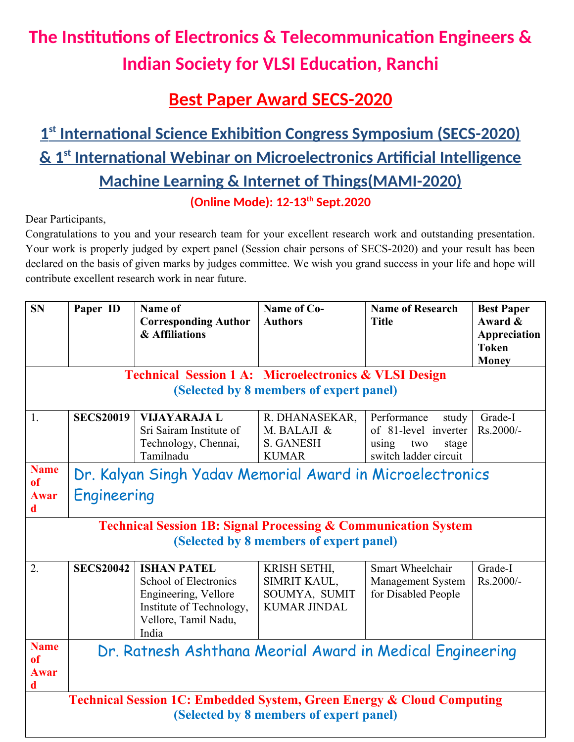## **The Institutions of Electronics & Telecommunication Engineers & Indian Society for VLSI Education, Ranchi**

## **Best Paper Award SECS-2020**

## **1 st International Science Exhibition Congress Symposium (SECS-2020) & 1st International Webinar on Microelectronics Artificial Intelligence Machine Learning & Internet of Things(MAMI-2020) (Online Mode): 12-13th Sept.2020**

Dear Participants,

Congratulations to you and your research team for your excellent research work and outstanding presentation. Your work is properly judged by expert panel (Session chair persons of SECS-2020) and your result has been declared on the basis of given marks by judges committee. We wish you grand success in your life and hope will contribute excellent research work in near future.

| <b>SN</b>                                                                                                            | Paper ID                                                  | Name of                       | Name of Co-         | <b>Name of Research</b> | <b>Best Paper</b> |  |  |  |  |  |
|----------------------------------------------------------------------------------------------------------------------|-----------------------------------------------------------|-------------------------------|---------------------|-------------------------|-------------------|--|--|--|--|--|
|                                                                                                                      |                                                           | <b>Corresponding Author</b>   | <b>Authors</b>      | <b>Title</b>            | Award &           |  |  |  |  |  |
|                                                                                                                      |                                                           | & Affiliations                |                     |                         | Appreciation      |  |  |  |  |  |
|                                                                                                                      |                                                           |                               |                     |                         | <b>Token</b>      |  |  |  |  |  |
|                                                                                                                      |                                                           |                               |                     |                         | <b>Money</b>      |  |  |  |  |  |
| <b>Technical Session 1 A: Microelectronics &amp; VLSI Design</b>                                                     |                                                           |                               |                     |                         |                   |  |  |  |  |  |
| (Selected by 8 members of expert panel)                                                                              |                                                           |                               |                     |                         |                   |  |  |  |  |  |
| 1.                                                                                                                   | <b>SECS20019</b>                                          | <b>VIJAYARAJA L</b>           | R. DHANASEKAR,      | Performance<br>study    | Grade-I           |  |  |  |  |  |
|                                                                                                                      |                                                           | Sri Sairam Institute of       | M. BALAJI &         | of 81-level inverter    | Rs.2000/-         |  |  |  |  |  |
|                                                                                                                      |                                                           | Technology, Chennai,          | <b>S. GANESH</b>    | using<br>two<br>stage   |                   |  |  |  |  |  |
|                                                                                                                      |                                                           | Tamilnadu                     | <b>KUMAR</b>        | switch ladder circuit   |                   |  |  |  |  |  |
| <b>Name</b><br><b>of</b>                                                                                             | Dr. Kalyan Singh Yadav Memorial Award in Microelectronics |                               |                     |                         |                   |  |  |  |  |  |
| <b>Awar</b><br>d                                                                                                     | Engineering                                               |                               |                     |                         |                   |  |  |  |  |  |
| <b>Technical Session 1B: Signal Processing &amp; Communication System</b><br>(Selected by 8 members of expert panel) |                                                           |                               |                     |                         |                   |  |  |  |  |  |
| $\overline{2}$ .                                                                                                     | <b>SECS20042</b>                                          | <b>ISHAN PATEL</b>            | KRISH SETHI,        | Smart Wheelchair        | Grade-I           |  |  |  |  |  |
|                                                                                                                      |                                                           | School of Electronics         | SIMRIT KAUL,        | Management System       | Rs.2000/-         |  |  |  |  |  |
|                                                                                                                      |                                                           | Engineering, Vellore          | SOUMYA, SUMIT       | for Disabled People     |                   |  |  |  |  |  |
|                                                                                                                      |                                                           | Institute of Technology,      | <b>KUMAR JINDAL</b> |                         |                   |  |  |  |  |  |
|                                                                                                                      |                                                           | Vellore, Tamil Nadu,<br>India |                     |                         |                   |  |  |  |  |  |
| <b>Name</b><br><sub>of</sub>                                                                                         | Dr. Ratnesh Ashthana Meorial Award in Medical Engineering |                               |                     |                         |                   |  |  |  |  |  |
| <b>Awar</b><br>d                                                                                                     |                                                           |                               |                     |                         |                   |  |  |  |  |  |
| <b>Technical Session 1C: Embedded System, Green Energy &amp; Cloud Computing</b>                                     |                                                           |                               |                     |                         |                   |  |  |  |  |  |
| (Selected by 8 members of expert panel)                                                                              |                                                           |                               |                     |                         |                   |  |  |  |  |  |